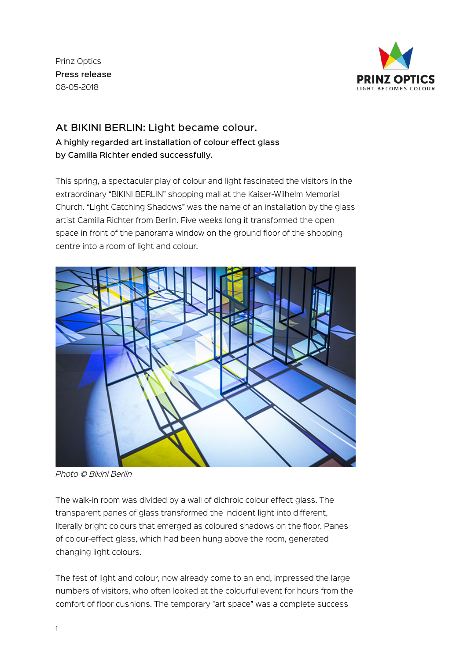Prinz Optics Press release 08-05-2018



## At BIKINI BERLIN: Light became colour. A highly regarded art installation of colour effect glass by Camilla Richter ended successfully.

This spring, a spectacular play of colour and light fascinated the visitors in the extraordinary "BIKINI BERLIN" shopping mall at the Kaiser-Wilhelm Memorial Church. "Light Catching Shadows" was the name of an installation by the glass artist Camilla Richter from Berlin. Five weeks long it transformed the open space in front of the panorama window on the ground floor of the shopping centre into a room of light and colour.



*Photo © Bikini Berlin*

The walk-in room was divided by a wall of dichroic colour effect glass. The transparent panes of glass transformed the incident light into different, literally bright colours that emerged as coloured shadows on the floor. Panes of colour-effect glass, which had been hung above the room, generated changing light colours.

The fest of light and colour, now already come to an end, impressed the large numbers of visitors, who often looked at the colourful event for hours from the comfort of floor cushions. The temporary "art space" was a complete success